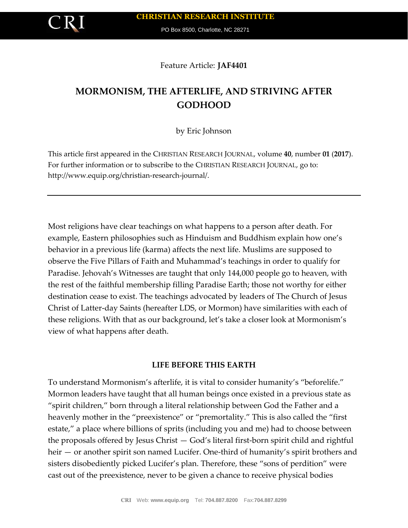

PO Box 8500, Charlotte, NC 28271

Feature Article: **JAF4401**

## **MORMONISM, THE AFTERLIFE, AND STRIVING AFTER GODHOOD**

by Eric Johnson

This article first appeared in the CHRISTIAN RESEARCH JOURNAL, volume **40**, number **01** (**2017**). For further information or to subscribe to the CHRISTIAN RESEARCH JOURNAL, go to: http://www.equip.org/christian-research-journal/.

Most religions have clear teachings on what happens to a person after death. For example, Eastern philosophies such as Hinduism and Buddhism explain how one's behavior in a previous life (karma) affects the next life. Muslims are supposed to observe the Five Pillars of Faith and Muhammad's teachings in order to qualify for Paradise. Jehovah's Witnesses are taught that only 144,000 people go to heaven, with the rest of the faithful membership filling Paradise Earth; those not worthy for either destination cease to exist. The teachings advocated by leaders of The Church of Jesus Christ of Latter-day Saints (hereafter LDS, or Mormon) have similarities with each of these religions. With that as our background, let's take a closer look at Mormonism's view of what happens after death.

## **LIFE BEFORE THIS EARTH**

To understand Mormonism's afterlife, it is vital to consider humanity's "beforelife." Mormon leaders have taught that all human beings once existed in a previous state as "spirit children," born through a literal relationship between God the Father and a heavenly mother in the "preexistence" or "premortality." This is also called the "first estate," a place where billions of sprits (including you and me) had to choose between the proposals offered by Jesus Christ — God's literal first-born spirit child and rightful heir — or another spirit son named Lucifer. One-third of humanity's spirit brothers and sisters disobediently picked Lucifer's plan. Therefore, these "sons of perdition" were cast out of the preexistence, never to be given a chance to receive physical bodies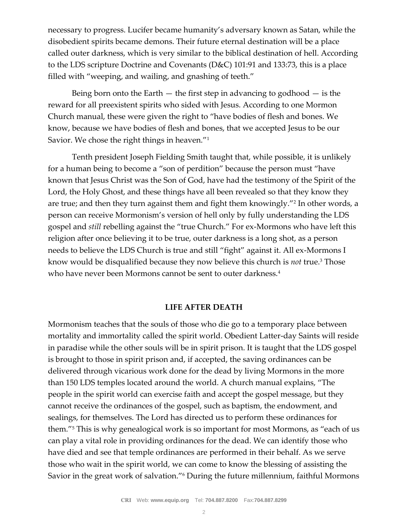necessary to progress. Lucifer became humanity's adversary known as Satan, while the disobedient spirits became demons. Their future eternal destination will be a place called outer darkness, which is very similar to the biblical destination of hell. According to the LDS scripture Doctrine and Covenants (D&C) 101:91 and 133:73, this is a place filled with "weeping, and wailing, and gnashing of teeth."

Being born onto the Earth  $-$  the first step in advancing to godhood  $-$  is the reward for all preexistent spirits who sided with Jesus. According to one Mormon Church manual, these were given the right to "have bodies of flesh and bones. We know, because we have bodies of flesh and bones, that we accepted Jesus to be our Savior. We chose the right things in heaven."<sup>1</sup>

Tenth president Joseph Fielding Smith taught that, while possible, it is unlikely for a human being to become a "son of perdition" because the person must "have known that Jesus Christ was the Son of God, have had the testimony of the Spirit of the Lord, the Holy Ghost, and these things have all been revealed so that they know they are true; and then they turn against them and fight them knowingly."<sup>2</sup> In other words, a person can receive Mormonism's version of hell only by fully understanding the LDS gospel and *still* rebelling against the "true Church." For ex-Mormons who have left this religion after once believing it to be true, outer darkness is a long shot, as a person needs to believe the LDS Church is true and still "fight" against it. All ex-Mormons I know would be disqualified because they now believe this church is *not* true.<sup>3</sup> Those who have never been Mormons cannot be sent to outer darkness.<sup>4</sup>

## **LIFE AFTER DEATH**

Mormonism teaches that the souls of those who die go to a temporary place between mortality and immortality called the spirit world. Obedient Latter-day Saints will reside in paradise while the other souls will be in spirit prison. It is taught that the LDS gospel is brought to those in spirit prison and, if accepted, the saving ordinances can be delivered through vicarious work done for the dead by living Mormons in the more than 150 LDS temples located around the world. A church manual explains, "The people in the spirit world can exercise faith and accept the gospel message, but they cannot receive the ordinances of the gospel, such as baptism, the endowment, and sealings, for themselves. The Lord has directed us to perform these ordinances for them."<sup>5</sup> This is why genealogical work is so important for most Mormons, as "each of us can play a vital role in providing ordinances for the dead. We can identify those who have died and see that temple ordinances are performed in their behalf. As we serve those who wait in the spirit world, we can come to know the blessing of assisting the Savior in the great work of salvation."<sup>6</sup> During the future millennium, faithful Mormons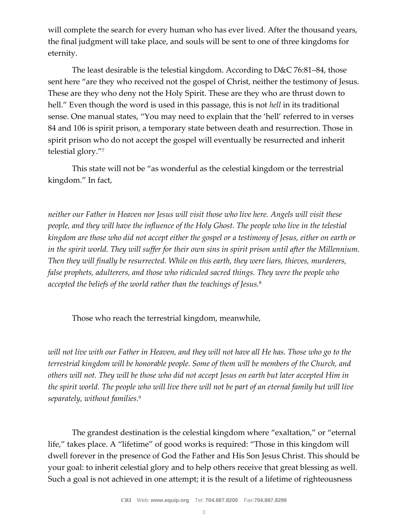will complete the search for every human who has ever lived. After the thousand years, the final judgment will take place, and souls will be sent to one of three kingdoms for eternity.

The least desirable is the telestial kingdom. According to D&C 76:81–84, those sent here "are they who received not the gospel of Christ, neither the testimony of Jesus. These are they who deny not the Holy Spirit. These are they who are thrust down to hell." Even though the word is used in this passage, this is not *hell* in its traditional sense. One manual states, "You may need to explain that the 'hell' referred to in verses 84 and 106 is spirit prison, a temporary state between death and resurrection. Those in spirit prison who do not accept the gospel will eventually be resurrected and inherit telestial glory."<sup>7</sup>

This state will not be "as wonderful as the celestial kingdom or the terrestrial kingdom." In fact,

*neither our Father in Heaven nor Jesus will visit those who live here. Angels will visit these people, and they will have the influence of the Holy Ghost. The people who live in the telestial kingdom are those who did not accept either the gospel or a testimony of Jesus, either on earth or in the spirit world. They will suffer for their own sins in spirit prison until after the Millennium. Then they will finally be resurrected. While on this earth, they were liars, thieves, murderers, false prophets, adulterers, and those who ridiculed sacred things. They were the people who accepted the beliefs of the world rather than the teachings of Jesus.*<sup>8</sup>

Those who reach the terrestrial kingdom, meanwhile,

*will not live with our Father in Heaven, and they will not have all He has. Those who go to the terrestrial kingdom will be honorable people. Some of them will be members of the Church, and others will not. They will be those who did not accept Jesus on earth but later accepted Him in the spirit world. The people who will live there will not be part of an eternal family but will live separately, without families.*<sup>9</sup>

The grandest destination is the celestial kingdom where "exaltation," or "eternal life," takes place. A "lifetime" of good works is required: "Those in this kingdom will dwell forever in the presence of God the Father and His Son Jesus Christ. This should be your goal: to inherit celestial glory and to help others receive that great blessing as well. Such a goal is not achieved in one attempt; it is the result of a lifetime of righteousness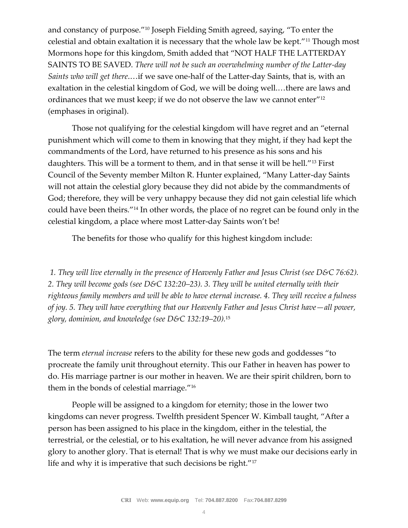and constancy of purpose."<sup>10</sup> Joseph Fielding Smith agreed, saying, "To enter the celestial and obtain exaltation it is necessary that the whole law be kept."<sup>11</sup> Though most Mormons hope for this kingdom, Smith added that "NOT HALF THE LATTERDAY SAINTS TO BE SAVED. *There will not be such an overwhelming number of the Latter-day Saints who will get there*.…if we save one-half of the Latter-day Saints, that is, with an exaltation in the celestial kingdom of God, we will be doing well.…there are laws and ordinances that we must keep; if we do not observe the law we cannot enter"<sup>12</sup> (emphases in original).

Those not qualifying for the celestial kingdom will have regret and an "eternal punishment which will come to them in knowing that they might, if they had kept the commandments of the Lord, have returned to his presence as his sons and his daughters. This will be a torment to them, and in that sense it will be hell."<sup>13</sup> First Council of the Seventy member Milton R. Hunter explained, "Many Latter-day Saints will not attain the celestial glory because they did not abide by the commandments of God; therefore, they will be very unhappy because they did not gain celestial life which could have been theirs."<sup>14</sup> In other words, the place of no regret can be found only in the celestial kingdom, a place where most Latter-day Saints won't be!

The benefits for those who qualify for this highest kingdom include:

*1. They will live eternally in the presence of Heavenly Father and Jesus Christ (see D&C 76:62). 2. They will become gods (see D&C 132:20–23). 3. They will be united eternally with their righteous family members and will be able to have eternal increase. 4. They will receive a fulness of joy. 5. They will have everything that our Heavenly Father and Jesus Christ have—all power, glory, dominion, and knowledge (see D&C 132:19–20).*<sup>15</sup>

The term *eternal increase* refers to the ability for these new gods and goddesses "to procreate the family unit throughout eternity. This our Father in heaven has power to do. His marriage partner is our mother in heaven. We are their spirit children, born to them in the bonds of celestial marriage."<sup>16</sup>

People will be assigned to a kingdom for eternity; those in the lower two kingdoms can never progress. Twelfth president Spencer W. Kimball taught, "After a person has been assigned to his place in the kingdom, either in the telestial, the terrestrial, or the celestial, or to his exaltation, he will never advance from his assigned glory to another glory. That is eternal! That is why we must make our decisions early in life and why it is imperative that such decisions be right."17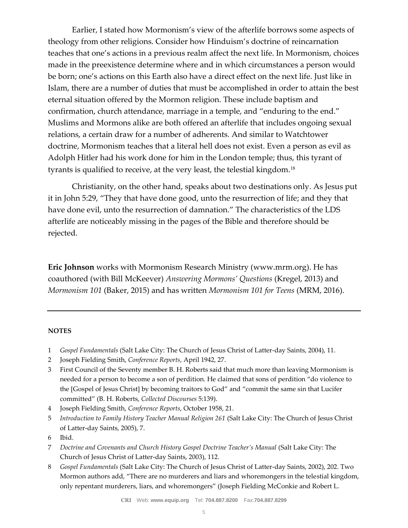Earlier, I stated how Mormonism's view of the afterlife borrows some aspects of theology from other religions. Consider how Hinduism's doctrine of reincarnation teaches that one's actions in a previous realm affect the next life. In Mormonism, choices made in the preexistence determine where and in which circumstances a person would be born; one's actions on this Earth also have a direct effect on the next life. Just like in Islam, there are a number of duties that must be accomplished in order to attain the best eternal situation offered by the Mormon religion. These include baptism and confirmation, church attendance, marriage in a temple, and "enduring to the end." Muslims and Mormons alike are both offered an afterlife that includes ongoing sexual relations, a certain draw for a number of adherents. And similar to Watchtower doctrine, Mormonism teaches that a literal hell does not exist. Even a person as evil as Adolph Hitler had his work done for him in the London temple; thus, this tyrant of tyrants is qualified to receive, at the very least, the telestial kingdom.<sup>18</sup>

Christianity, on the other hand, speaks about two destinations only. As Jesus put it in John 5:29, "They that have done good, unto the resurrection of life; and they that have done evil, unto the resurrection of damnation." The characteristics of the LDS afterlife are noticeably missing in the pages of the Bible and therefore should be rejected.

**Eric Johnson** works with Mormonism Research Ministry (www.mrm.org). He has coauthored (with Bill McKeever) *Answering Mormons' Questions* (Kregel, 2013) and *Mormonism 101* (Baker, 2015) and has written *Mormonism 101 for Teens* (MRM, 2016).

## **NOTES**

- 1 *Gospel Fundamentals* (Salt Lake City: The Church of Jesus Christ of Latter-day Saints, 2004), 11.
- 2 Joseph Fielding Smith, *Conference Reports*, April 1942, 27.
- 3 First Council of the Seventy member B. H. Roberts said that much more than leaving Mormonism is needed for a person to become a son of perdition. He claimed that sons of perdition "do violence to the [Gospel of Jesus Christ] by becoming traitors to God" and "commit the same sin that Lucifer committed" (B. H. Roberts, *Collected Discourses* 5:139).
- 4 Joseph Fielding Smith, *Conference Reports*, October 1958, 21.
- 5 *Introduction to Family History Teacher Manual Religion 261* (Salt Lake City: The Church of Jesus Christ of Latter-day Saints, 2005), 7.
- 6 Ibid.
- 7 *Doctrine and Covenants and Church History Gospel Doctrine Teacher's Manual* (Salt Lake City: The Church of Jesus Christ of Latter-day Saints, 2003), 112.
- 8 *Gospel Fundamentals* (Salt Lake City: The Church of Jesus Christ of Latter-day Saints, 2002), 202. Two Mormon authors add, "There are no murderers and liars and whoremongers in the telestial kingdom, only repentant murderers, liars, and whoremongers" (Joseph Fielding McConkie and Robert L.